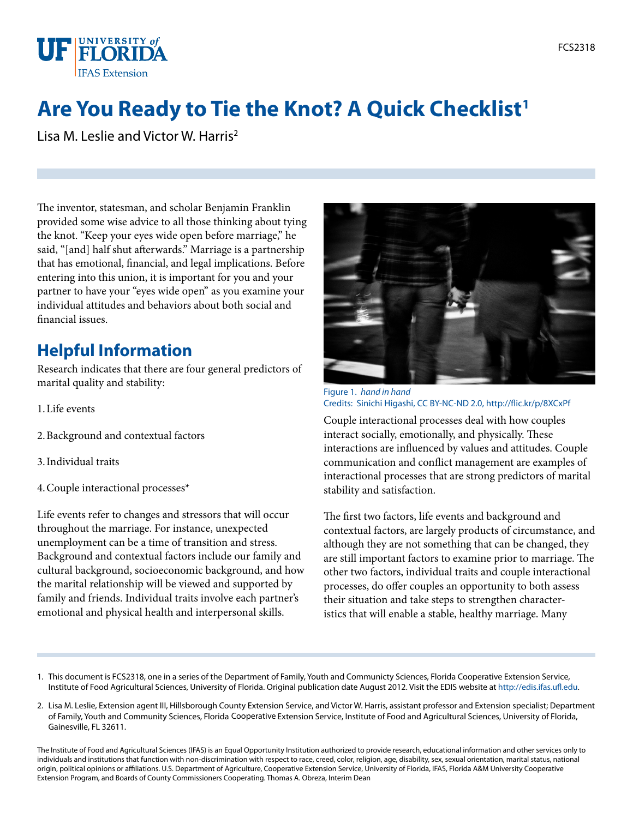

# **Are You Ready to Tie the Knot? A Quick Checklist<sup>1</sup>**

Lisa M. Leslie and Victor W. Harris2

The inventor, statesman, and scholar Benjamin Franklin provided some wise advice to all those thinking about tying the knot. "Keep your eyes wide open before marriage," he said, "[and] half shut afterwards." Marriage is a partnership that has emotional, financial, and legal implications. Before entering into this union, it is important for you and your partner to have your "eyes wide open" as you examine your individual attitudes and behaviors about both social and financial issues.

## **Helpful Information**

Research indicates that there are four general predictors of marital quality and stability:

- 1.Life events
- 2.Background and contextual factors
- 3.Individual traits
- 4.Couple interactional processes\*

Life events refer to changes and stressors that will occur throughout the marriage. For instance, unexpected unemployment can be a time of transition and stress. Background and contextual factors include our family and cultural background, socioeconomic background, and how the marital relationship will be viewed and supported by family and friends. Individual traits involve each partner's emotional and physical health and interpersonal skills.



Figure 1. *hand in hand* Credits: Sinichi Higashi, [CC BY-NC-ND 2.0,](http://creativecommons.org/licenses/by-nc-nd/2.0/deed.en)<http://flic.kr/p/8XCxPf>

Couple interactional processes deal with how couples interact socially, emotionally, and physically. These interactions are influenced by values and attitudes. Couple communication and conflict management are examples of interactional processes that are strong predictors of marital stability and satisfaction.

The first two factors, life events and background and contextual factors, are largely products of circumstance, and although they are not something that can be changed, they are still important factors to examine prior to marriage. The other two factors, individual traits and couple interactional processes, do offer couples an opportunity to both assess their situation and take steps to strengthen characteristics that will enable a stable, healthy marriage. Many

- 1. This document is FCS2318, one in a series of the Department of Family, Youth and Communicty Sciences, Florida Cooperative Extension Service, Institute of Food Agricultural Sciences, University of Florida. Original publication date August 2012. Visit the EDIS website at [http://edis.ifas.ufl.edu.](http://edis.ifas.ufl.edu)
- 2. Lisa M. Leslie, Extension agent III, Hillsborough County Extension Service, and Victor W. Harris, assistant professor and Extension specialist; Department of Family, Youth and Community Sciences, Florida Cooperative Extension Service, Institute of Food and Agricultural Sciences, University of Florida, Gainesville, FL 32611.

The Institute of Food and Agricultural Sciences (IFAS) is an Equal Opportunity Institution authorized to provide research, educational information and other services only to individuals and institutions that function with non-discrimination with respect to race, creed, color, religion, age, disability, sex, sexual orientation, marital status, national origin, political opinions or affiliations. U.S. Department of Agriculture, Cooperative Extension Service, University of Florida, IFAS, Florida A&M University Cooperative Extension Program, and Boards of County Commissioners Cooperating. Thomas A. Obreza, Interim Dean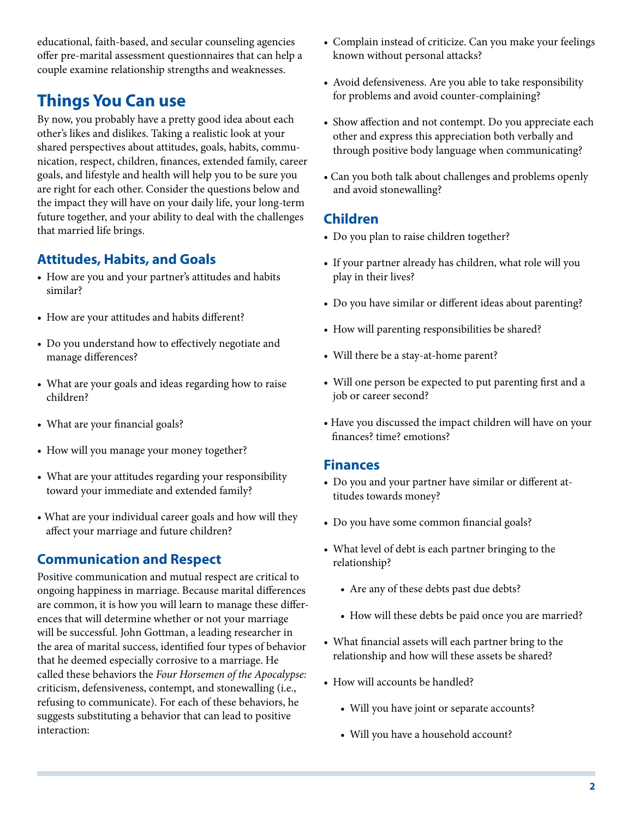educational, faith-based, and secular counseling agencies offer pre-marital assessment questionnaires that can help a couple examine relationship strengths and weaknesses.

### **Things You Can use**

By now, you probably have a pretty good idea about each other's likes and dislikes. Taking a realistic look at your shared perspectives about attitudes, goals, habits, communication, respect, children, finances, extended family, career goals, and lifestyle and health will help you to be sure you are right for each other. Consider the questions below and the impact they will have on your daily life, your long-term future together, and your ability to deal with the challenges that married life brings.

#### **Attitudes, Habits, and Goals**

- • How are you and your partner's attitudes and habits similar?
- • How are your attitudes and habits different?
- Do you understand how to effectively negotiate and manage differences?
- What are your goals and ideas regarding how to raise children?
- What are your financial goals?
- How will you manage your money together?
- • What are your attitudes regarding your responsibility toward your immediate and extended family?
- What are your individual career goals and how will they affect your marriage and future children?

#### **Communication and Respect**

Positive communication and mutual respect are critical to ongoing happiness in marriage. Because marital differences are common, it is how you will learn to manage these differences that will determine whether or not your marriage will be successful. John Gottman, a leading researcher in the area of marital success, identified four types of behavior that he deemed especially corrosive to a marriage. He called these behaviors the *Four Horsemen of the Apocalypse:* criticism, defensiveness, contempt, and stonewalling (i.e., refusing to communicate). For each of these behaviors, he suggests substituting a behavior that can lead to positive interaction:

- Complain instead of criticize. Can you make your feelings known without personal attacks?
- Avoid defensiveness. Are you able to take responsibility for problems and avoid counter-complaining?
- Show affection and not contempt. Do you appreciate each other and express this appreciation both verbally and through positive body language when communicating?
- Can you both talk about challenges and problems openly and avoid stonewalling?

#### **Children**

- Do you plan to raise children together?
- If your partner already has children, what role will you play in their lives?
- Do you have similar or different ideas about parenting?
- How will parenting responsibilities be shared?
- Will there be a stay-at-home parent?
- • Will one person be expected to put parenting first and a job or career second?
- Have you discussed the impact children will have on your finances? time? emotions?

#### **Finances**

- • Do you and your partner have similar or different attitudes towards money?
- Do you have some common financial goals?
- • What level of debt is each partner bringing to the relationship?
	- Are any of these debts past due debts?
	- How will these debts be paid once you are married?
- • What financial assets will each partner bring to the relationship and how will these assets be shared?
- How will accounts be handled?
	- Will you have joint or separate accounts?
	- Will you have a household account?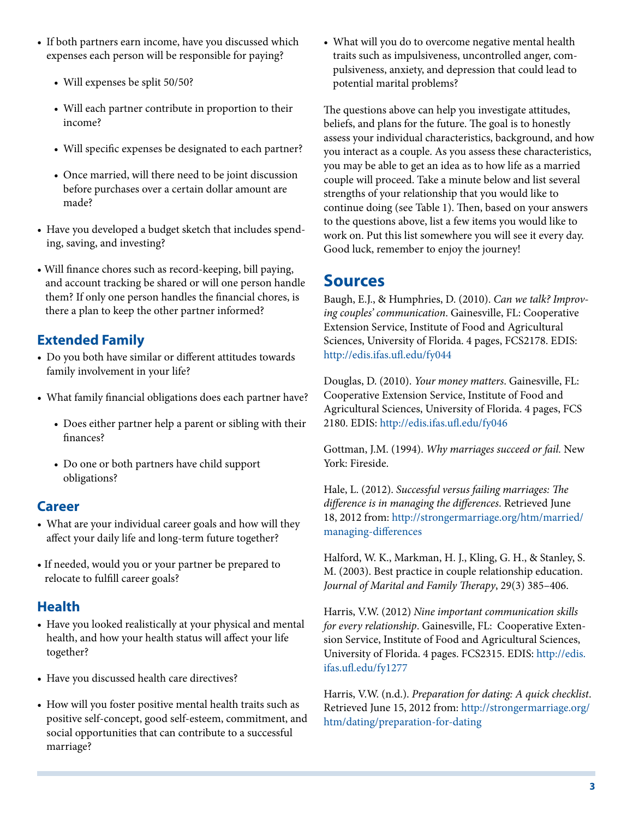- If both partners earn income, have you discussed which expenses each person will be responsible for paying?
	- Will expenses be split 50/50?
	- • Will each partner contribute in proportion to their income?
	- • Will specific expenses be designated to each partner?
	- Once married, will there need to be joint discussion before purchases over a certain dollar amount are made?
- Have you developed a budget sketch that includes spending, saving, and investing?
- Will finance chores such as record-keeping, bill paying, and account tracking be shared or will one person handle them? If only one person handles the financial chores, is there a plan to keep the other partner informed?

### **Extended Family**

- • Do you both have similar or different attitudes towards family involvement in your life?
- What family financial obligations does each partner have?
	- • Does either partner help a parent or sibling with their finances?
	- • Do one or both partners have child support obligations?

#### **Career**

- What are your individual career goals and how will they affect your daily life and long-term future together?
- If needed, would you or your partner be prepared to relocate to fulfill career goals?

#### **Health**

- Have you looked realistically at your physical and mental health, and how your health status will affect your life together?
- Have you discussed health care directives?
- How will you foster positive mental health traits such as positive self-concept, good self-esteem, commitment, and social opportunities that can contribute to a successful marriage?

• What will you do to overcome negative mental health traits such as impulsiveness, uncontrolled anger, compulsiveness, anxiety, and depression that could lead to potential marital problems?

The questions above can help you investigate attitudes, beliefs, and plans for the future. The goal is to honestly assess your individual characteristics, background, and how you interact as a couple. As you assess these characteristics, you may be able to get an idea as to how life as a married couple will proceed. Take a minute below and list several strengths of your relationship that you would like to continue doing (see Table 1). Then, based on your answers to the questions above, list a few items you would like to work on. Put this list somewhere you will see it every day. Good luck, remember to enjoy the journey!

### **Sources**

Baugh, E.J., & Humphries, D. (2010). *Can we talk? Improving couples' communication*. Gainesville, FL: Cooperative Extension Service, Institute of Food and Agricultural Sciences, University of Florida. 4 pages, FCS2178. EDIS: <http://edis.ifas.ufl.edu/fy044>

Douglas, D. (2010). *Your money matters*. Gainesville, FL: Cooperative Extension Service, Institute of Food and Agricultural Sciences, University of Florida. 4 pages, FCS 2180. EDIS: <http://edis.ifas.ufl.edu/fy046>

Gottman, J.M. (1994). *Why marriages succeed or fail.* New York: Fireside.

Hale, L. (2012). *Successful versus failing marriages: The difference is in managing the differences*. Retrieved June 18, 2012 from: [http://strongermarriage.org/htm/married/](http://strongermarriage.org/htm/married/managing-differences) [managing-differences](http://strongermarriage.org/htm/married/managing-differences)

Halford, W. K., Markman, H. J., Kling, G. H., & Stanley, S. M. (2003). Best practice in couple relationship education. *Journal of Marital and Family Therapy*, 29(3) 385–406.

Harris, V.W. (2012) *Nine important communication skills for every relationship*. Gainesville, FL: Cooperative Extension Service, Institute of Food and Agricultural Sciences, University of Florida. 4 pages. FCS2315. EDIS: [http://edis.](http://edis.ifas.ufl.edu/fy1277) [ifas.ufl.edu/fy1277](http://edis.ifas.ufl.edu/fy1277)

Harris, V.W. (n.d.). *Preparation for dating: A quick checklist*. Retrieved June 15, 2012 from: [http://strongermarriage.org/](http://strongermarriage.org/htm/dating/preparation-for-dating) [htm/dating/preparation-for-dating](http://strongermarriage.org/htm/dating/preparation-for-dating)